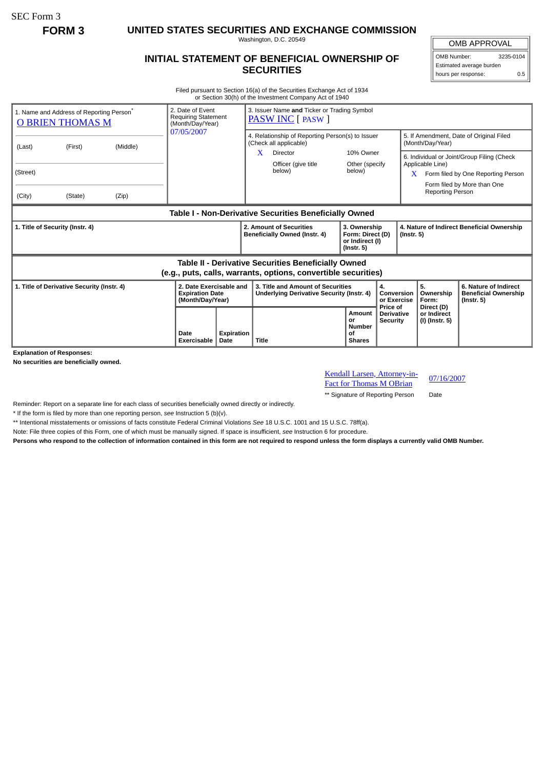SEC Form 3

**FORM 3 UNITED STATES SECURITIES AND EXCHANGE COMMISSION**

Washington, D.C. 20549

## **INITIAL STATEMENT OF BENEFICIAL OWNERSHIP OF SECURITIES**

OMB APPROVAL OMB Number: 3235-0104

Estimated average burden hours per response: 0.5

Filed pursuant to Section 16(a) of the Securities Exchange Act of 1934 or Section 30(h) of the Investment Company Act of 1940

| 1. Name and Address of Reporting Person <sup>®</sup><br><b>O BRIEN THOMAS M</b>                                       |         |          | 2. Date of Event<br><b>Requiring Statement</b><br>(Month/Day/Year)    |                    | 3. Issuer Name and Ticker or Trading Symbol<br><b>PASW INC</b> [ PASW ]        |                                                                         |                                      |                                                                                                                                                                     |                                                                          |  |
|-----------------------------------------------------------------------------------------------------------------------|---------|----------|-----------------------------------------------------------------------|--------------------|--------------------------------------------------------------------------------|-------------------------------------------------------------------------|--------------------------------------|---------------------------------------------------------------------------------------------------------------------------------------------------------------------|--------------------------------------------------------------------------|--|
| (Last)                                                                                                                | (First) | (Middle) | 07/05/2007                                                            |                    | 4. Relationship of Reporting Person(s) to Issuer<br>(Check all applicable)     |                                                                         |                                      | 5. If Amendment, Date of Original Filed<br>(Month/Day/Year)                                                                                                         |                                                                          |  |
| (Street)<br>(City)                                                                                                    | (State) | (Zip)    |                                                                       |                    | X<br><b>Director</b><br>Officer (give title<br>below)                          | 10% Owner<br>Other (specify<br>below)                                   |                                      | 6. Individual or Joint/Group Filing (Check<br>Applicable Line)<br>Form filed by One Reporting Person<br>X<br>Form filed by More than One<br><b>Reporting Person</b> |                                                                          |  |
| Table I - Non-Derivative Securities Beneficially Owned                                                                |         |          |                                                                       |                    |                                                                                |                                                                         |                                      |                                                                                                                                                                     |                                                                          |  |
| 1. Title of Security (Instr. 4)                                                                                       |         |          |                                                                       |                    | 2. Amount of Securities<br>Beneficially Owned (Instr. 4)                       | 3. Ownership<br>Form: Direct (D)<br>or Indirect (I)<br>$($ Instr. 5 $)$ |                                      | 4. Nature of Indirect Beneficial Ownership<br>$($ lnstr. 5 $)$                                                                                                      |                                                                          |  |
| Table II - Derivative Securities Beneficially Owned<br>(e.g., puts, calls, warrants, options, convertible securities) |         |          |                                                                       |                    |                                                                                |                                                                         |                                      |                                                                                                                                                                     |                                                                          |  |
| 1. Title of Derivative Security (Instr. 4)                                                                            |         |          | 2. Date Exercisable and<br><b>Expiration Date</b><br>(Month/Day/Year) |                    | 3. Title and Amount of Securities<br>Underlying Derivative Security (Instr. 4) | 4.<br>Conversion<br>or Exercise<br>Price of                             |                                      | 5.<br>Ownership<br>Form:                                                                                                                                            | 6. Nature of Indirect<br><b>Beneficial Ownership</b><br>$($ Instr. 5 $)$ |  |
|                                                                                                                       |         |          | Date<br>Exercisable                                                   | Expiration<br>Date | <b>Title</b>                                                                   | Amount<br>or<br><b>Number</b><br>of<br><b>Shares</b>                    | <b>Derivative</b><br><b>Security</b> | Direct (D)<br>or Indirect<br>(I) (Instr. 5)                                                                                                                         |                                                                          |  |

**Explanation of Responses:**

**No securities are beneficially owned.**

Kendall Larsen, Attorney-in-**Examber 6 Example 12 Example 12 Example 12 Fact for Thomas M OBrian** 07/16/2007

\*\* Signature of Reporting Person Date

Reminder: Report on a separate line for each class of securities beneficially owned directly or indirectly.

\* If the form is filed by more than one reporting person, *see* Instruction 5 (b)(v).

\*\* Intentional misstatements or omissions of facts constitute Federal Criminal Violations *See* 18 U.S.C. 1001 and 15 U.S.C. 78ff(a).

Note: File three copies of this Form, one of which must be manually signed. If space is insufficient, *see* Instruction 6 for procedure.

**Persons who respond to the collection of information contained in this form are not required to respond unless the form displays a currently valid OMB Number.**